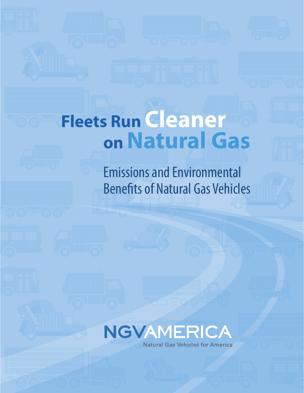# **Fleets Run Cleaner on Natural Gas**

Emissions and Environmental Benefits of Natural Gas Vehicles

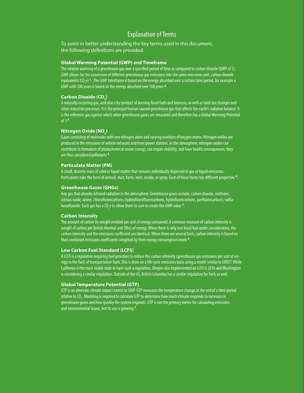### Explanation of Terms

To assist in better understanding the key terms used in this document, the following definitions are provided:

#### **Global Warming Potential (GWP) and Timeframe**

The relative warming of a greenhouse gas over a specified period of time as compared to carbon dioxide (GWP of 1). GWP allows for the conversion of different greenhouse gas emissions into the same emissions unit, carbon dioxide equivalents (CO<sub>2</sub>e) **1**. The GWP timeframe is based on the energy absorbed over a certain time period, for example a GWP with 100 years is based on the energy absorbed over 100 years **2***.* 

#### Carbon Dioxide (CO<sub>2</sub>)

A naturally occurring gas, and also a by-product of burning fossil fuels and biomass, as well as land-use changes and other industrial processes. It is the principal human caused greenhouse gas that affects the earth's radiative balance. It is the reference gas against which other greenhouse gases are measured and therefore has a Global Warming Potential of 1 **<sup>3</sup>** .

#### $\mathsf{Nitrogen\, Oxide\,(NO}_{\mathsf{x}})$

Gases consisting of molecules with one nitrogen atom and varying numbers of oxygen atoms. Nitrogen oxides are produced in the emissions of vehicle exhausts and from power stations. In the atmosphere, nitrogen oxides can contribute to formation of photochemical ozone (smog), can impair visibility, and have health consequences; they are thus considered pollutants **<sup>3</sup>** .

#### **Particulate Matter (PM)**

A small, discrete mass of solid or liquid matter that remains individually dispersed in gas or liquid emissions. Particulates take the form of aerosol, dust, fume, mist, smoke, or spray. Each of these forms has different properties **<sup>4</sup>**

#### **Greenhouse Gases (GHGs)**

Any gas that absorbs infrared radiation in the atmosphere. Greenhouse gases include, carbon dioxide, methane, nitrous oxide, ozone, chlorofluorocarbons, hydrochlorofluorocarbons, hydrofluorocarbons, perfluorocarbons, sulfur hexafluoride. Each gas has a CO<sub>2</sub>e to allow them to sum to create the GWP value <sup>**3**</sup>

#### **Carbon Intensity**

The amount of carbon by weight emitted per unit of energy consumed. A common measure of carbon intensity is weight of carbon per British thermal unit (Btu) of energy. When there is only one fossil fuel under consideration, the carbon intensity and the emissions coefficient are identical. When there are several fuels, carbon intensity is based on their combined emissions coefficients weighted by their energy consumption levels **<sup>4</sup>** .

#### **Low Carbon Fuel Standard (LCFS)**

A LCFS is a regulation requiring fuel providers to reduce the carbon intensity (greenhouse gas emissions per unit of energy in the fuel) of transportation fuels. This is done on a life cycle emissions basis using a model similar to GREET. While California is the most visible state to have such a regulation, Oregon also implemented an LCFS is 2016 and Washington is considering a similar regulation. Outside of the US, British Columbia has a similar regulation for fuels as well.

#### **Global Temperature Potential (GTP)**

GTP is an alternate climate impact metric to GWP. GTP measures the temperature change at the end of a time period relative to CO<sub>2</sub>. Modeling is required to calculate GTP to determine how much climate responds to increases in greenhouse gases and how quickly the system responds. GTP is not the primary metric for calculating emissions and environmental issues, but its use is growing **<sup>5</sup>** .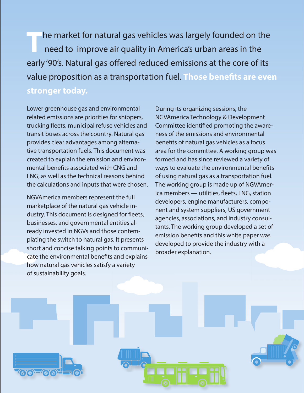**T**he market for natural gas vehicles was largely founded on the need to improve air quality in America's urban areas in the early '90's. Natural gas offered reduced emissions at the core of its value proposition as a transportation fuel. **Those benefits are even** 

# **stronger today.**

Lower greenhouse gas and environmental related emissions are priorities for shippers, trucking fleets, municipal refuse vehicles and transit buses across the country. Natural gas provides clear advantages among alternative transportation fuels. This document was created to explain the emission and environmental benefits associated with CNG and LNG, as well as the technical reasons behind the calculations and inputs that were chosen.

NGVAmerica members represent the full marketplace of the natural gas vehicle industry. This document is designed for fleets, businesses, and governmental entities already invested in NGVs and those contemplating the switch to natural gas. It presents short and concise talking points to communicate the environmental benefits and explains how natural gas vehicles satisfy a variety of sustainability goals.

During its organizing sessions, the NGVAmerica Technology & Development Committee identified promoting the awareness of the emissions and environmental benefits of natural gas vehicles as a focus area for the committee. A working group was formed and has since reviewed a variety of ways to evaluate the environmental benefits of using natural gas as a transportation fuel. The working group is made up of NGVAmerica members — utilities, fleets, LNG, station developers, engine manufacturers, component and system suppliers, US government agencies, associations, and industry consultants. The working group developed a set of emission benefits and this white paper was developed to provide the industry with a broader explanation.

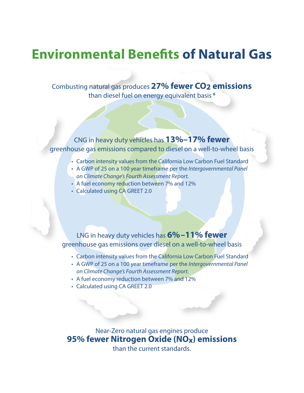# **Environmental Benefits of Natural Gas**

# Combusting natural gas produces **27% fewer CO2 emissions**

than diesel fuel on energy equivalent basis **<sup>6</sup>**

# CNG in heavy duty vehicles has **13%–17% fewer**  greenhouse gas emissions compared to diesel on a well-to-wheel basis

I

- Carbon intensity values from the California Low Carbon Fuel Standard
- A GWP of 25 on a 100 year timeframe per the *Intergovernmental Panel on Climate Change's Fourth Assessment Report.*
- A fuel economy reduction between 7% and 12%
- Calculated using CA GREET 2.0

LNG in heavy duty vehicles has **6%–11% fewer**  greenhouse gas emissions over diesel on a well-to-wheel basis

- Carbon intensity values from the California Low Carbon Fuel Standard
- A GWP of 25 on a 100 year timeframe per the *Intergovernmental Panel on Climate Change's Fourth Assessment Report.*
- A fuel economy reduction between 7% and 12%
- Calculated using CA GREET 2.0

Near-Zero natural gas engines produce **95% fewer Nitrogen Oxide (NOx) emissions**  than the current standards.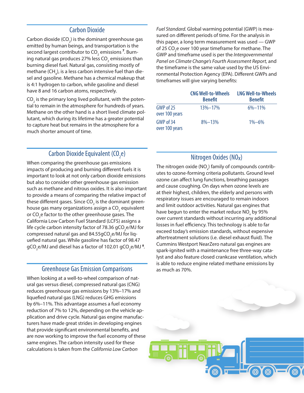#### Carbon Dioxide

Carbon dioxide (CO<sub>2</sub>) is the dominant greenhouse gas emitted by human beings, and transportation is the second largest contributor to CO<sub>2</sub> emissions <sup>7</sup>. Burning natural gas produces 27% less CO<sub>2</sub> emissions than burning diesel fuel*.* Natural gas, consisting mostly of methane (CH<sub>4</sub>), is a less carbon intensive fuel than diesel and gasoline. Methane has a chemical makeup that is 4:1 hydrogen to carbon, while gasoline and diesel have 8 and 16 carbon atoms, respectively.

 $\mathrm{CO}_2$  is the primary long lived pollutant, with the potential to remain in the atmosphere for hundreds of years. Methane on the other hand is a short lived climate pollutant, which during its lifetime has a greater potential to capture heat but remains in the atmosphere for a much shorter amount of time.

# Carbon Dioxide Equivalent (CO<sub>2</sub>e)

When comparing the greenhouse gas emissions impacts of producing and burning different fuels it is important to look at not only carbon dioxide emissions but also to consider other greenhouse gas emission such as methane and nitrous oxides. It is also important to provide a means of comparing the relative impact of these different gases. Since CO $_{\textrm{\tiny{2}}}$  is the dominant greenhouse gas many organizations assign a CO<sub>2</sub> equivalent or CO<sub>2</sub>e factor to the other greenhouse gases. The California Low Carbon Fuel Standard (LCFS) assigns a life cycle carbon intensity factor of 78.36 gCO<sub>2</sub>e/MJ for compressed natural gas and 84.55gCO<sub>2</sub>e/MJ for liquefied natural gas. While gasoline has factor of 98.47 gCO<sub>2</sub>e/MJ and diesel has a factor of 102.01 gCO<sub>2</sub>e/MJ <sup>8</sup>.

#### Greenhouse Gas Emission Comparisons

When looking at a well-to-wheel comparison of natural gas versus diesel, compressed natural gas (CNG) reduces greenhouse gas emissions by 13%–17% and liquefied natural gas (LNG) reduces GHG emissions by 6%–11%. This advantage assumes a fuel economy reduction of 7% to 12%, depending on the vehicle application and drive cycle. Natural gas engine manufacturers have made great strides in developing engines that provide significant environmental benefits, and are now working to improve the fuel economy of these same engines. The carbon intensity used for these calculations is taken from the *California Low Carbon* 

*Fuel Standard.* Global warming potential (GWP) is measured on different periods of time. For the analysis in this paper, a long term measurement was used — GWP of 25 CO<sub>2</sub>e over 100 year timeframe for methane. The GWP and timeframe used is per the *Intergovernmental Panel on Climate Change's Fourth Assessment Report,* and the timeframe is the same value used by the US Environmental Protection Agency (EPA). Different GWPs and timeframes will give varying benefits:

|                             | <b>CNG Well-to-Wheels</b><br><b>Benefit</b> | <b>LNG Well-to-Wheels</b><br><b>Benefit</b> |
|-----------------------------|---------------------------------------------|---------------------------------------------|
| GWP of 25<br>over 100 years | $13\% - 17\%$                               | $6\% - 11\%$                                |
| GWP of 34<br>over 100 years | $8\% - 13\%$                                | $1\% - 6\%$                                 |

# Nitrogen Oxides (NOx)

The nitrogen oxide (NO $_{\!\scriptscriptstyle \chi}$ ) family of compounds contributes to ozone-forming criteria pollutants. Ground level ozone can affect lung functions, breathing passages and cause coughing. On days when ozone levels are at their highest, children, the elderly and persons with respiratory issues are encouraged to remain indoors and limit outdoor activities. Natural gas engines that have begun to enter the market reduce NO<sub>x</sub> by 95% over current standards without incurring any additional losses in fuel efficiency. This technology is able to far exceed today's emission standards, without expensive aftertreatment solutions (i.e. diesel exhaust fluid). The Cummins Westport NearZero natural gas engines are spark-ignited with a maintenance free three-way catalyst and also feature closed crankcase ventilation, which is able to reduce engine related methane emissions by as much as 70%.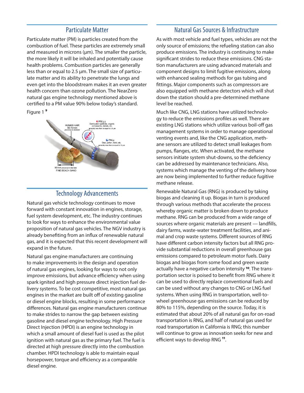#### Particulate Matter

Particulate matter (PM) is particles created from the combustion of fuel. These particles are extremely small and measured in microns  $(\mu m)$ . The smaller the particle, the more likely it will be inhaled and potentially cause health problems. Combustion particles are generally less than or equal to 2.5 µm. The small size of particulate matter and its ability to penetrate the lungs and even get into the bloodstream makes it an even greater health concern than ozone pollution. The NearZero natural gas engine technology mentioned above is certified to a PM value 90% below today's standard.

Figure 1 **9**



# Technology Advancements

Natural gas vehicle technology continues to move forward with constant innovation in engines, storage, fuel system development, etc. The industry continues to look for ways to enhance the environmental value proposition of natural gas vehicles. The NGV industry is already benefiting from an influx of renewable natural gas, and it is expected that this recent development will expand in the future.

Natural gas engine manufacturers are continuing to make improvements in the design and operation of natural gas engines, looking for ways to not only improve emissions, but advance efficiency when using spark ignited and high pressure direct injection fuel delivery systems. To be cost competitive, most natural gas engines in the market are built off of existing gasoline or diesel engine blocks, resulting in some performance differences. Natural gas engine manufacturers continue to make strides to narrow the gap between existing gasoline and diesel engine technology. High Pressure Direct Injection (HPDI) is an engine technology in which a small amount of diesel fuel is used as the pilot ignition with natural gas as the primary fuel. The fuel is directed at high pressure directly into the combustion chamber. HPDI technology is able to maintain equal horsepower, torque and efficiency as a comparable diesel engine.

#### Natural Gas Sources & Infrastructure

As with most vehicle and fuel types, vehicles are not the only source of emissions; the refueling station can also produce emissions. The industry is continuing to make significant strides to reduce these emissions. CNG station manufacturers are using advanced materials and component designs to limit fugitive emissions, along with enhanced sealing methods for gas tubing and fittings. Major components such as compressors are also equipped with methane detectors which will shut down the station should a pre-determined methane level be reached.

Much like CNG, LNG stations have utilized technology to reduce the emissions profiles as well. There are existing LNG stations which utilize various boil-off gas management systems in order to manage operational venting events and, like the CNG application, methane sensors are utilized to detect small leakages from pumps, flanges, etc. When activated, the methane sensors initiate system shut-downs, so the deficiency can be addressed by maintenance technicians. Also, systems which manage the venting of the delivery hose are now being implemented to further reduce fugitive methane release.

Renewable Natural Gas (RNG) is produced by taking biogas and cleaning it up. Biogas in turn is produced through various methods that accelerate the process whereby organic matter is broken down to produce methane. RNG can be produced from a wide range of sources where organic materials are present — landfills, dairy farms, waste-water treatment facilities, and animal and crop waste systems. Different sources of RNG have different carbon intensity factors but all RNG provide substantial reductions in overall greenhouse gas emissions compared to petroleum motor fuels. Dairy biogas and biogas from some food and green waste actually have a negative carbon intensity **10***.* The transportation sector is poised to benefit from RNG where it can be used to directly replace conventional fuels and can be used without any changes to CNG or LNG fuel systems. When using RNG in transportation, well-towheel greenhouse gas emissions can be reduced by 80% to 115%, depending on the source. Today, it is estimated that about 20% of all natural gas for on-road transportation is RNG, and half of natural gas used for road transportation in California is RNG; this number will continue to grow as innovation seeks for new and efficient ways to develop RNG **11**.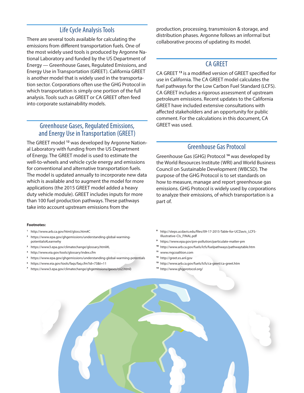# Life Cycle Analysis Tools

There are several tools available for calculating the emissions from different transportation fuels. One of the most widely used tools is produced by Argonne National Laboratory and funded by the US Department of Energy — Greenhouse Gases, Regulated Emissions, and Energy Use in Transportation (GREET). California GREET is another model that is widely used in the transportation sector. Corporations often use the GHG Protocol in which transportation is simply one portion of the full analysis. Tools such as GREET or CA GREET often feed into corporate sustainability models.

## Greenhouse Gases, Regulated Emissions, and Energy Use in Transportation (GREET)

The GREET model **12** was developed by Argonne National Laboratory with funding from the US Department of Energy. The GREET model is used to estimate the well-to-wheels and vehicle cycle energy and emissions for conventional and alternative transportation fuels. The model is updated annually to incorporate new data which is available and to augment the model for more applications (the 2015 GREET model added a heavy duty vehicle module). GREET includes inputs for more than 100 fuel production pathways. These pathways take into account upstream emissions from the

#### **Footnotes:**

- **<sup>1</sup>** http://www.arb.ca.gov/html/gloss.htm#C
- **<sup>2</sup>** https://www.epa.gov/ghgemissions/understanding-global-warmingpotentials#Learnwhy
- **<sup>3</sup>** https://www3.epa.gov/climatechange/glossary.html#L
- **<sup>4</sup>** http://www.eia.gov/tools/glossary/index.cfm
- **<sup>5</sup>** https://www.epa.gov/ghgemissions/understanding-global-warming-potentials
- **<sup>6</sup>** https://www.eia.gov/tools/faqs/faq.cfm?id=73&t=11
- **7** https://www3.epa.gov/climatechange/ghgemissions/gases/co2.html)

production, processing, transmission & storage, and distribution phases. Argonne follows an informal but collaborative process of updating its model.

#### CA GREET

CA GREET **<sup>13</sup>** is a modified version of GREET specified for use in California. The CA GREET model calculates the fuel pathways for the Low Carbon Fuel Standard (LCFS). CA GREET includes a rigorous assessment of upstream petroleum emissions. Recent updates to the California GREET have included extensive consultations with affected stakeholders and an opportunity for public comment. For the calculations in this document, CA GREET was used.

# Greenhouse Gas Protocol

Greenhouse Gas (GHG) Protocol **<sup>14</sup>** was developed by the World Resources Institute (WRI) and World Business Council on Sustainable Development (WBCSD). The purpose of the GHG Protocol is to set standards on how to measure, manage and report greenhouse gas emissions. GHG Protocol is widely used by corporations to analyze their emissions, of which transportation is a part of.

- **8** http://steps.ucdavis.edu/files/09-17-2015-Table-for-UCDavis\_LCFS-Illustrative-CIs\_FINAL.pdf
- **9** https://www.epa.gov/pm-pollution/particulate-matter-pm
- **10** http://www.arb.ca.gov/fuels/lcfs/fuelpathways/pathwaytable.htm
- **11** www.rngcoalition.com
- **12** http://greet.es.anl.gov
- **13** http://www.arb.ca.gov/fuels/lcfs/ca-greet/ca-greet.htm
- **14** http://www.ghgprotocol.org/